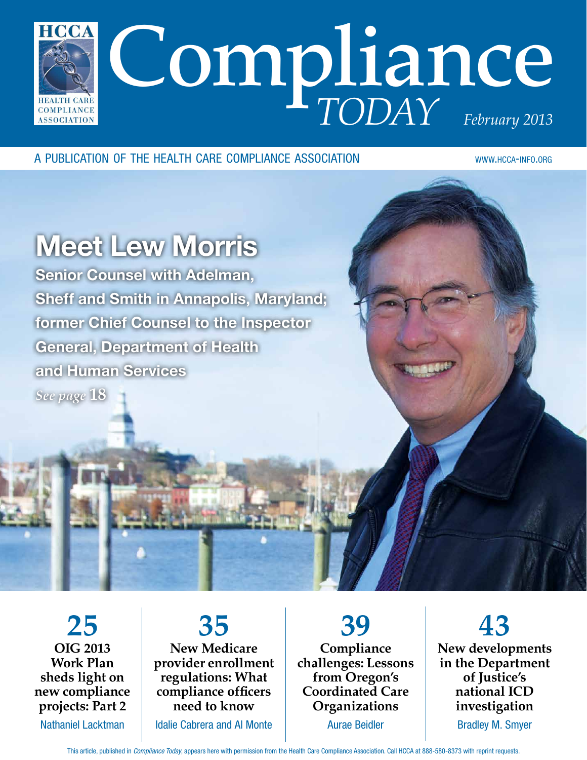

a publication of the health care compliance association www.hcca-info.org

## Meet Lew Morris

Senior Counsel with Adelman, Sheff and Smith in Annapolis, Maryland; former Chief Counsel to the Inspector General, Department of Health and Human Services *See page* **18**

**25 OIG 2013 Work Plan sheds light on new compliance projects: Part 2** Nathaniel Lacktman

**35 New Medicare provider enrollment regulations: What compliance officers need to know**

Idalie Cabrera and Al Monte

**39 Compliance challenges: Lessons from Oregon's Coordinated Care Organizations** Aurae Beidler

**43 New developments in the Department of Justice's national ICD investigation** Bradley M. Smyer

This article, published in *Compliance Today*, appears here with permission from the Health Care Compliance Association. Call HCCA at 888-580-8373 with reprint requests.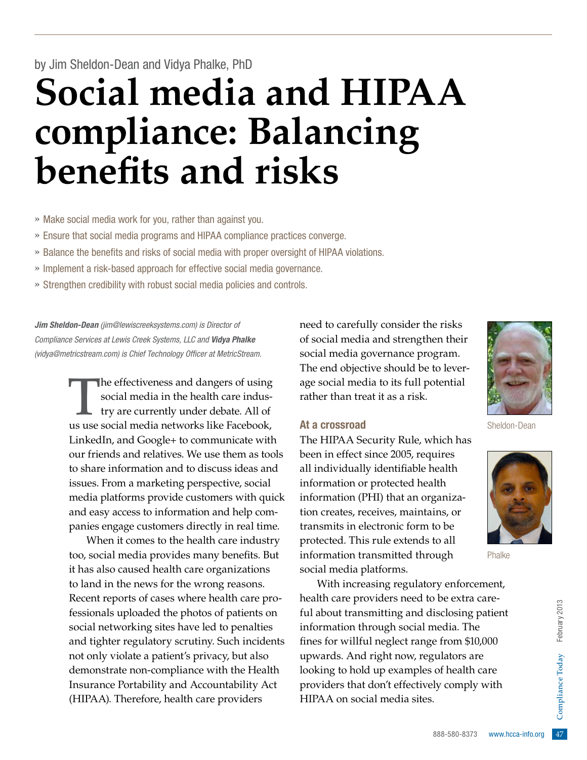## by Jim Sheldon-Dean and Vidya Phalke, PhD

# **Social media and HIPAA compliance: Balancing benefits and risks**

» Make social media work for you, rather than against you.

- » Ensure that social media programs and HIPAA compliance practices converge.
- » Balance the benefits and risks of social media with proper oversight of HIPAA violations.
- » Implement a risk-based approach for effective social media governance.
- » Strengthen credibility with robust social media policies and controls.

*Jim Sheldon-Dean (jim@lewiscreeksystems.com) is Director of Compliance Services at Lewis Creek Systems, LLC and Vidya Phalke (vidya@metricstream.com) is Chief Technology Officer at MetricStream.*

> The effectiveness and dangers of using<br>social media in the health care indus-<br>try are currently under debate. All of social media in the health care industry are currently under debate. All of us use social media networks like Facebook, LinkedIn, and Google+ to communicate with our friends and relatives. We use them as tools to share information and to discuss ideas and issues. From a marketing perspective, social media platforms provide customers with quick and easy access to information and help companies engage customers directly in real time.

> When it comes to the health care industry too, social media provides many benefits. But it has also caused health care organizations to land in the news for the wrong reasons. Recent reports of cases where health care professionals uploaded the photos of patients on social networking sites have led to penalties and tighter regulatory scrutiny. Such incidents not only violate a patient's privacy, but also demonstrate non-compliance with the Health Insurance Portability and Accountability Act (HIPAA). Therefore, health care providers

need to carefully consider the risks of social media and strengthen their social media governance program. The end objective should be to leverage social media to its full potential rather than treat it as a risk.

#### At a crossroad

The HIPAA Security Rule, which has been in effect since 2005, requires all individually identifiable health information or protected health information (PHI) that an organization creates, receives, maintains, or transmits in electronic form to be protected. This rule extends to all information transmitted through social media platforms.

 $\begin{array}{r} \text{is closing patient} \ \text{inedia.} \ \text{The} \ \text{e from $10,000} \ \text{gulators are} \ \text{of health care} \ \text{ly comply with} \ \text{or} \ \text{seas} \ -\text{supp} \ \text{in} \ \text{in} \ \text{in} \ \text{in} \ \text{in} \ \text{in} \ \text{in} \ \text{in} \ \text{in} \ \text{in} \ \text{in} \ \text{in} \ \text{in} \ \text{in} \ \text{in} \ \text{in} \ \text{in} \ \text{in} \ \text{in} \ \text{in} \ \text{in} \ \text{in}$ With increasing regulatory enforcement, health care providers need to be extra careful about transmitting and disclosing patient information through social media. The fines for willful neglect range from \$10,000 upwards. And right now, regulators are looking to hold up examples of health care providers that don't effectively comply with HIPAA on social media sites.



Sheldon-Dean



Phalke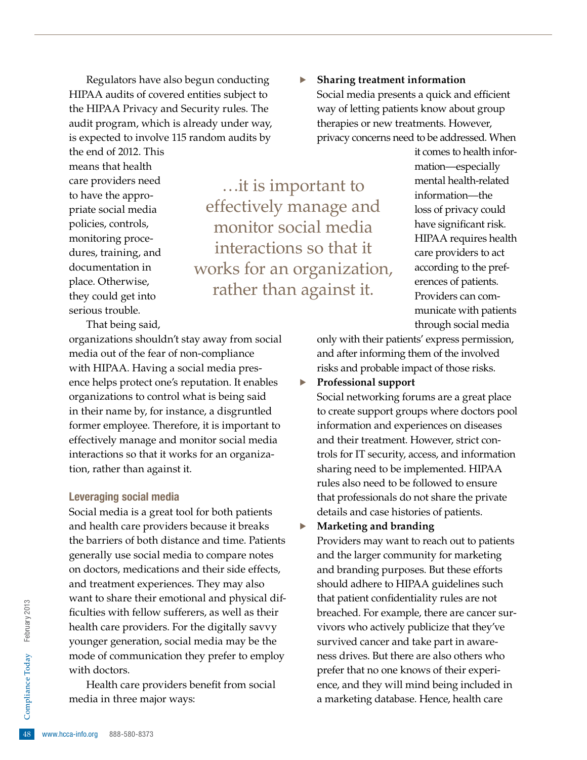Regulators have also begun conducting HIPAA audits of covered entities subject to the HIPAA Privacy and Security rules. The audit program, which is already under way, is expected to involve 115 random audits by

the end of 2012. This means that health care providers need to have the appropriate social media policies, controls, monitoring procedures, training, and documentation in place. Otherwise, they could get into serious trouble.

…it is important to effectively manage and monitor social media interactions so that it works for an organization, rather than against it.

That being said,

organizations shouldn't stay away from social media out of the fear of non-compliance with HIPAA. Having a social media presence helps protect one's reputation. It enables organizations to control what is being said in their name by, for instance, a disgruntled former employee. Therefore, it is important to effectively manage and monitor social media interactions so that it works for an organization, rather than against it.

#### Leveraging social media

Social media is a great tool for both patients and health care providers because it breaks the barriers of both distance and time. Patients generally use social media to compare notes on doctors, medications and their side effects, and treatment experiences. They may also want to share their emotional and physical difficulties with fellow sufferers, as well as their health care providers. For the digitally savvy younger generation, social media may be the mode of communication they prefer to employ with doctors.

48 **Health care proplements**<br>
48 www.hcca-info.org 888-580-8373 Health care providers benefit from social media in three major ways:

· **Sharing treatment information** Social media presents a quick and efficient way of letting patients know about group therapies or new treatments. However, privacy concerns need to be addressed. When

> it comes to health information—especially mental health-related

information—the loss of privacy could have significant risk. HIPAA requires health care providers to act according to the preferences of patients. Providers can communicate with patients

through social media only with their patients' express permission, and after informing them of the involved risks and probable impact of those risks.

· **Professional support**

Social networking forums are a great place to create support groups where doctors pool information and experiences on diseases and their treatment. However, strict controls for IT security, access, and information sharing need to be implemented. HIPAA rules also need to be followed to ensure that professionals do not share the private details and case histories of patients.

· **Marketing and branding**

Providers may want to reach out to patients and the larger community for marketing and branding purposes. But these efforts should adhere to HIPAA guidelines such that patient confidentiality rules are not breached. For example, there are cancer survivors who actively publicize that they've survived cancer and take part in awareness drives. But there are also others who prefer that no one knows of their experience, and they will mind being included in a marketing database. Hence, health care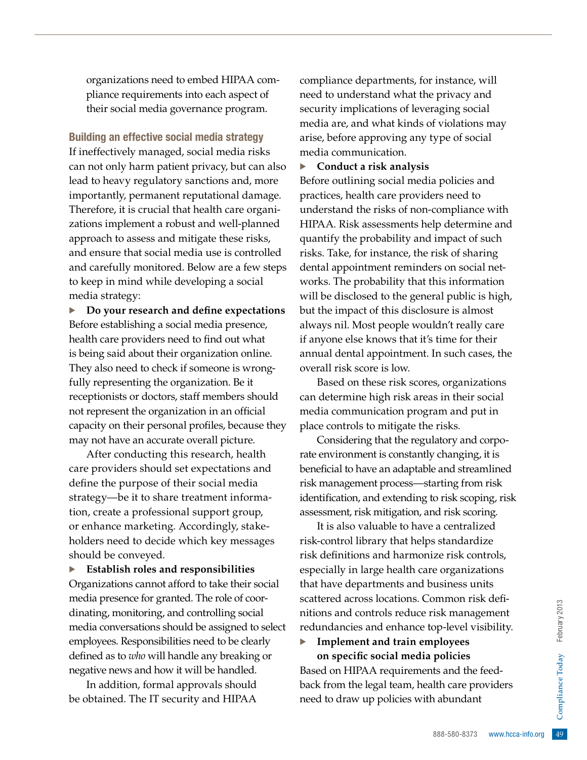organizations need to embed HIPAA compliance requirements into each aspect of their social media governance program.

Building an effective social media strategy

If ineffectively managed, social media risks can not only harm patient privacy, but can also lead to heavy regulatory sanctions and, more importantly, permanent reputational damage. Therefore, it is crucial that health care organizations implement a robust and well-planned approach to assess and mitigate these risks, and ensure that social media use is controlled and carefully monitored. Below are a few steps to keep in mind while developing a social media strategy:

· **Do your research and define expectations** Before establishing a social media presence, health care providers need to find out what is being said about their organization online. They also need to check if someone is wrongfully representing the organization. Be it receptionists or doctors, staff members should not represent the organization in an official capacity on their personal profiles, because they may not have an accurate overall picture.

After conducting this research, health care providers should set expectations and define the purpose of their social media strategy—be it to share treatment information, create a professional support group, or enhance marketing. Accordingly, stakeholders need to decide which key messages should be conveyed.

· **Establish roles and responsibilities** Organizations cannot afford to take their social media presence for granted. The role of coordinating, monitoring, and controlling social media conversations should be assigned to select employees. Responsibilities need to be clearly defined as to *who* will handle any breaking or negative news and how it will be handled.

In addition, formal approvals should be obtained. The IT security and HIPAA

compliance departments, for instance, will need to understand what the privacy and security implications of leveraging social media are, and what kinds of violations may arise, before approving any type of social media communication.

· **Conduct a risk analysis**

Before outlining social media policies and practices, health care providers need to understand the risks of non-compliance with HIPAA. Risk assessments help determine and quantify the probability and impact of such risks. Take, for instance, the risk of sharing dental appointment reminders on social networks. The probability that this information will be disclosed to the general public is high, but the impact of this disclosure is almost always nil. Most people wouldn't really care if anyone else knows that it's time for their annual dental appointment. In such cases, the overall risk score is low.

Based on these risk scores, organizations can determine high risk areas in their social media communication program and put in place controls to mitigate the risks.

Considering that the regulatory and corporate environment is constantly changing, it is beneficial to have an adaptable and streamlined risk management process—starting from risk identification, and extending to risk scoping, risk assessment, risk mitigation, and risk scoring.

It is also valuable to have a centralized risk-control library that helps standardize risk definitions and harmonize risk controls, especially in large health care organizations that have departments and business units scattered across locations. Common risk definitions and controls reduce risk management redundancies and enhance top-level visibility.

#### · **Implement and train employees on specific social media policies**

Fisk management<br>
op-level visibility.<br> **ployees**<br> **policies**<br> **policies**<br> **compliance providers**<br>
abundant<br>
abundant<br>
abundant<br>
888-580-8373 www.hcca-info.org 49 Based on HIPAA requirements and the feedback from the legal team, health care providers need to draw up policies with abundant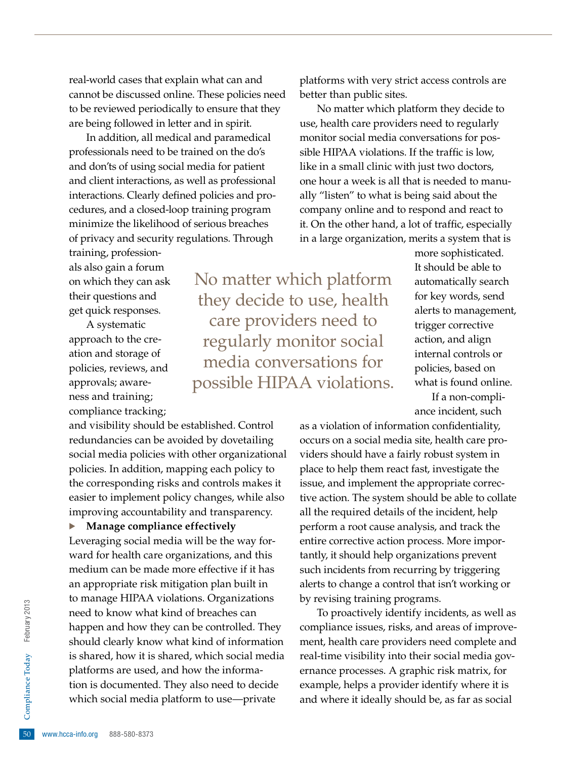real-world cases that explain what can and cannot be discussed online. These policies need to be reviewed periodically to ensure that they are being followed in letter and in spirit.

In addition, all medical and paramedical professionals need to be trained on the do's and don'ts of using social media for patient and client interactions, as well as professional interactions. Clearly defined policies and procedures, and a closed-loop training program minimize the likelihood of serious breaches of privacy and security regulations. Through

training, professionals also gain a forum on which they can ask their questions and get quick responses.

A systematic approach to the creation and storage of policies, reviews, and approvals; awareness and training; compliance tracking;

and visibility should be established. Control redundancies can be avoided by dovetailing social media policies with other organizational policies. In addition, mapping each policy to the corresponding risks and controls makes it easier to implement policy changes, while also improving accountability and transparency.

· **Manage compliance effectively**

tion is documented. They also need to decide<br>
which social media platform to use—private<br>
50 www.hcca-info.org 888-580-8373 Leveraging social media will be the way forward for health care organizations, and this medium can be made more effective if it has an appropriate risk mitigation plan built in to manage HIPAA violations. Organizations need to know what kind of breaches can happen and how they can be controlled. They should clearly know what kind of information is shared, how it is shared, which social media platforms are used, and how the informawhich social media platform to use—private

platforms with very strict access controls are better than public sites.

No matter which platform they decide to use, health care providers need to regularly monitor social media conversations for possible HIPAA violations. If the traffic is low, like in a small clinic with just two doctors, one hour a week is all that is needed to manually "listen" to what is being said about the company online and to respond and react to it. On the other hand, a lot of traffic, especially in a large organization, merits a system that is

No matter which platform they decide to use, health care providers need to regularly monitor social media conversations for possible HIPAA violations. more sophisticated. It should be able to automatically search for key words, send alerts to management, trigger corrective action, and align internal controls or policies, based on what is found online. If a non-compli-

ance incident, such

as a violation of information confidentiality, occurs on a social media site, health care providers should have a fairly robust system in place to help them react fast, investigate the issue, and implement the appropriate corrective action. The system should be able to collate all the required details of the incident, help perform a root cause analysis, and track the entire corrective action process. More importantly, it should help organizations prevent such incidents from recurring by triggering alerts to change a control that isn't working or by revising training programs.

To proactively identify incidents, as well as compliance issues, risks, and areas of improvement, health care providers need complete and real-time visibility into their social media governance processes. A graphic risk matrix, for example, helps a provider identify where it is and where it ideally should be, as far as social